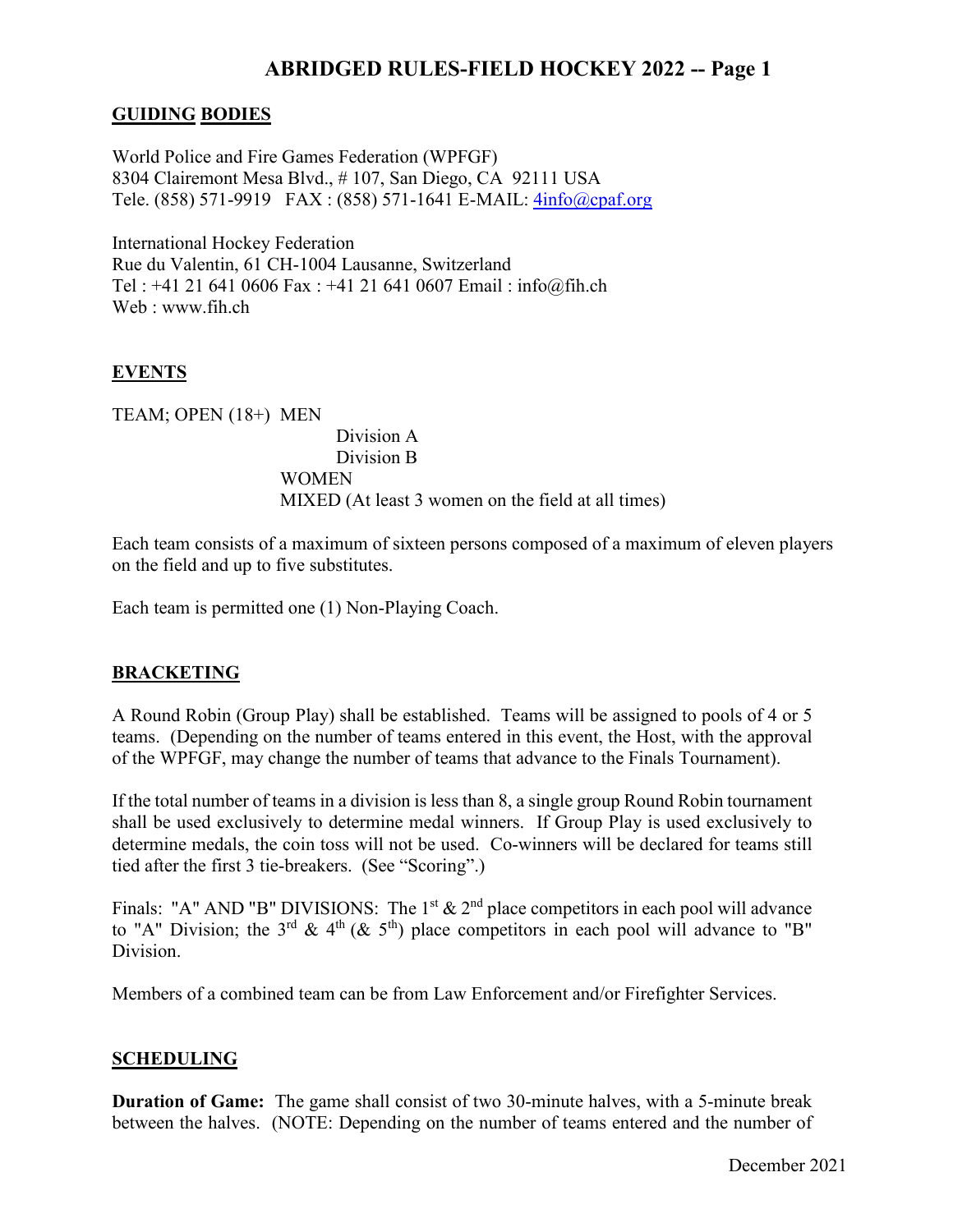# **ABRIDGED RULES-FIELD HOCKEY 2022 -- Page 1**

### **GUIDING BODIES**

World Police and Fire Games Federation (WPFGF) 8304 Clairemont Mesa Blvd., # 107, San Diego, CA 92111 USA Tele. (858) 571-9919 FAX : (858) 571-1641 E-MAIL: [4info@cpaf.org](mailto:4info@cpaf.org)

International Hockey Federation Rue du Valentin, 61 CH-1004 Lausanne, Switzerland Tel : +41 21 641 0606 Fax : +41 21 641 0607 Email : info@fih.ch Web : www.fih.ch

## **EVENTS**

TEAM; OPEN (18+) MEN Division A Division B **WOMEN** MIXED (At least 3 women on the field at all times)

Each team consists of a maximum of sixteen persons composed of a maximum of eleven players on the field and up to five substitutes.

Each team is permitted one (1) Non-Playing Coach.

## **BRACKETING**

A Round Robin (Group Play) shall be established. Teams will be assigned to pools of 4 or 5 teams. (Depending on the number of teams entered in this event, the Host, with the approval of the WPFGF, may change the number of teams that advance to the Finals Tournament).

If the total number of teams in a division is less than 8, a single group Round Robin tournament shall be used exclusively to determine medal winners. If Group Play is used exclusively to determine medals, the coin toss will not be used. Co-winners will be declared for teams still tied after the first 3 tie-breakers. (See "Scoring".)

Finals: "A" AND "B" DIVISIONS: The 1<sup>st</sup>  $\&$  2<sup>nd</sup> place competitors in each pool will advance to "A" Division; the 3<sup>rd</sup> & 4<sup>th</sup> (& 5<sup>th</sup>) place competitors in each pool will advance to "B" Division.

Members of a combined team can be from Law Enforcement and/or Firefighter Services.

#### **SCHEDULING**

**Duration of Game:** The game shall consist of two 30-minute halves, with a 5-minute break between the halves. (NOTE: Depending on the number of teams entered and the number of